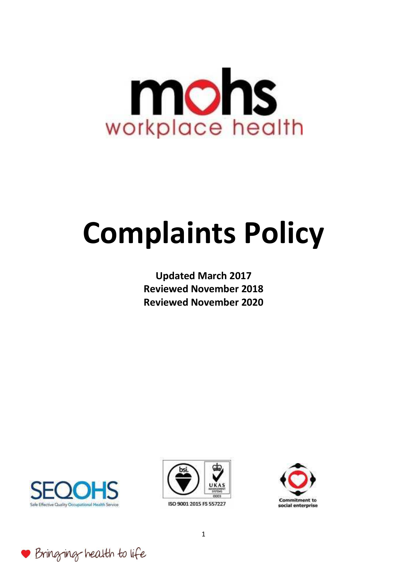

# **Complaints Policy**

**Updated March 2017 Reviewed November 2018 Reviewed November 2020** 



Bringing health to life